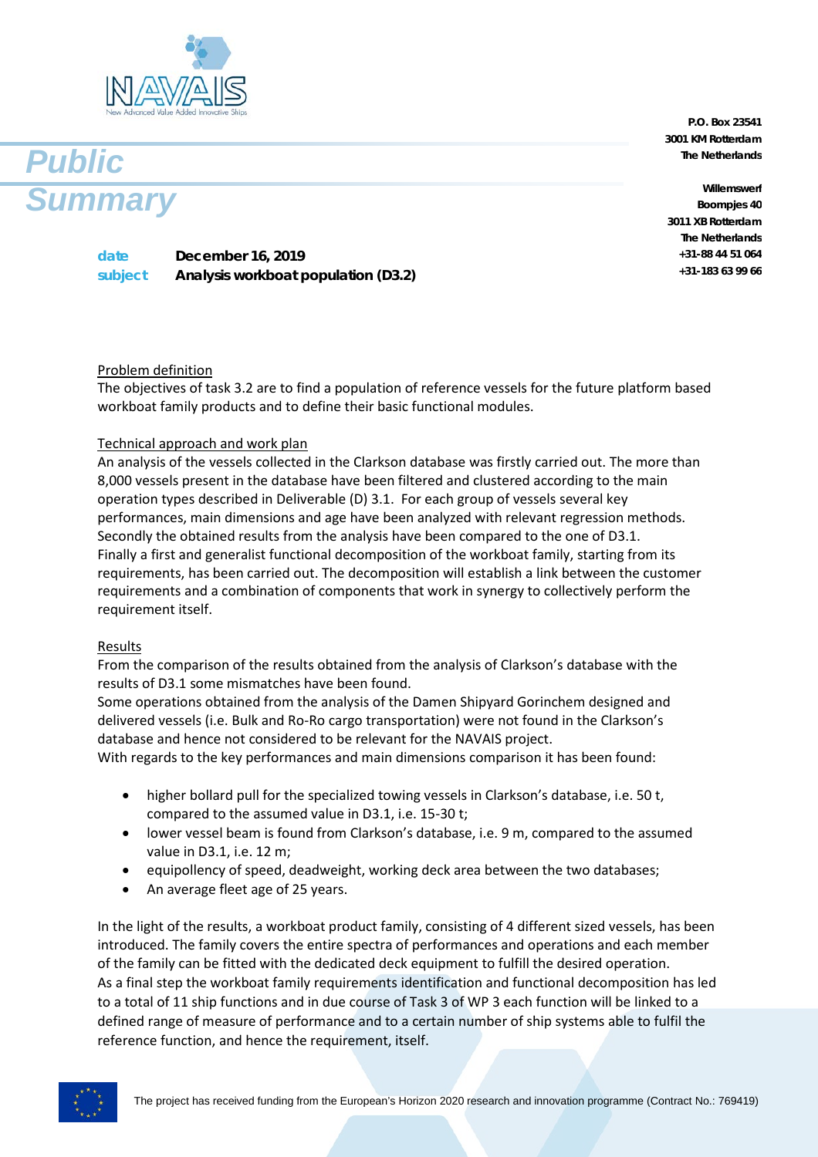



**P.O. Box 23541 3001 KM Rotterdam The Netherlands**

**Willemswerf Boompjes 40 3011 XB Rotterdam The Netherlands +31-88 44 51 064 +31-183 63 99 66**

**date December 16, 2019 subject Analysis workboat population (D3.2)**

## Problem definition

The objectives of task 3.2 are to find a population of reference vessels for the future platform based workboat family products and to define their basic functional modules.

## Technical approach and work plan

An analysis of the vessels collected in the Clarkson database was firstly carried out. The more than 8,000 vessels present in the database have been filtered and clustered according to the main operation types described in Deliverable (D) 3.1. For each group of vessels several key performances, main dimensions and age have been analyzed with relevant regression methods. Secondly the obtained results from the analysis have been compared to the one of D3.1. Finally a first and generalist functional decomposition of the workboat family, starting from its requirements, has been carried out. The decomposition will establish a link between the customer requirements and a combination of components that work in [synergy](https://en.wikipedia.org/wiki/Synergy) to collectively perform the requirement itself.

## Results

From the comparison of the results obtained from the analysis of Clarkson's database with the results of D3.1 some mismatches have been found.

Some operations obtained from the analysis of the Damen Shipyard Gorinchem designed and delivered vessels (i.e. Bulk and Ro-Ro cargo transportation) were not found in the Clarkson's database and hence not considered to be relevant for the NAVAIS project.

With regards to the key performances and main dimensions comparison it has been found:

- higher bollard pull for the specialized towing vessels in Clarkson's database, i.e. 50 t, compared to the assumed value in D3.1, i.e. 15-30 t;
- lower vessel beam is found from Clarkson's database, i.e. 9 m, compared to the assumed value in D3.1, i.e. 12 m;
- equipollency of speed, deadweight, working deck area between the two databases;
- An average fleet age of 25 years.

In the light of the results, a workboat product family, consisting of 4 different sized vessels, has been introduced. The family covers the entire spectra of performances and operations and each member of the family can be fitted with the dedicated deck equipment to fulfill the desired operation. As a final step the workboat family requirements identification and functional decomposition has led to a total of 11 ship functions and in due course of Task 3 of WP 3 each function will be linked to a defined range of measure of performance and to a certain number of ship systems able to fulfil the reference function, and hence the requirement, itself.